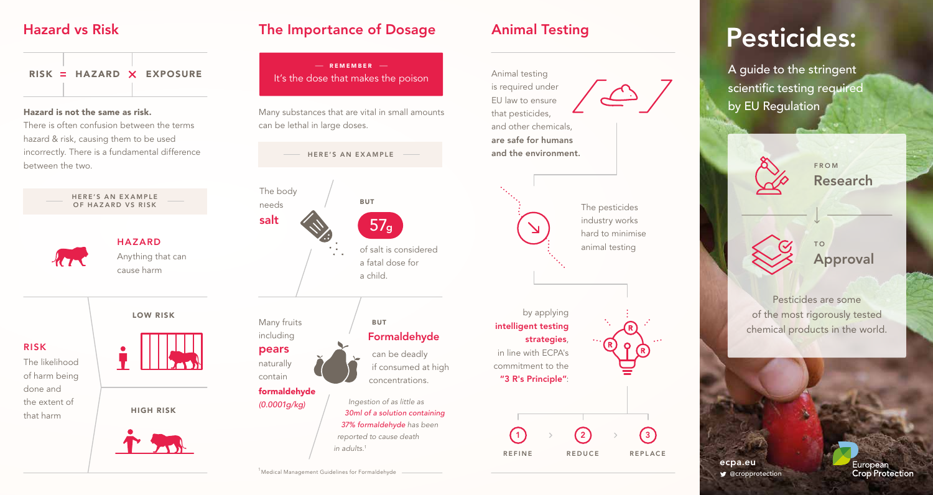$RISK = HAZARD \times EXPOSURE$ 

### Hazard is not the same as risk.

There is often confusion between the terms hazard & risk, causing them to be used incorrectly. There is a fundamental difference between the two.



# Hazard vs Risk **The Importance of Dosage** Animal Testing

 $R = R$ EMEMBER – It's the dose that makes the poison

Many substances that are vital in small amounts can be lethal in large doses.

HERE'S AN EXAMPLE



Many fruits including pears naturally contain

> formaldehyde *(0.0001g/kg)*



*37% formaldehyde has been reported to cause death in adults.1*



hard to minimise animal testing





# Pesticides:

A guide to the stringent scientific testing required by EU Regulation

> Research FROM

T O Approval

Pesticides are some of the most rigorously tested chemical products in the world.

**g**cropprotection ecpa.eu



<sup>1</sup> Medical Management Guidelines for Formaldehyde